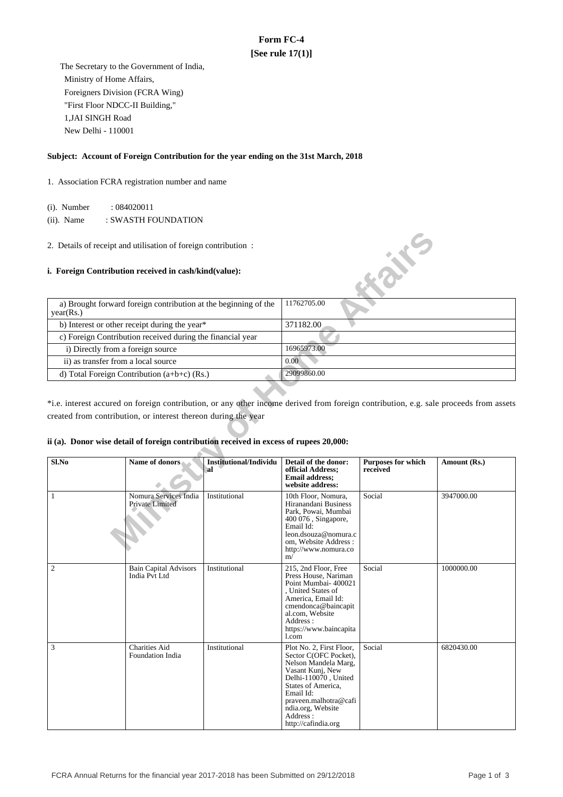# **Form FC-4 [See rule 17(1)]**

 The Secretary to the Government of India, Ministry of Home Affairs, Foreigners Division (FCRA Wing) "First Floor NDCC-II Building," 1,JAI SINGH Road New Delhi - 110001

## **Subject: Account of Foreign Contribution for the year ending on the 31st March, 2018**

1. Association FCRA registration number and name

(i). Number : 084020011

(ii). Name : SWASTH FOUNDATION

### **i. Foreign Contribution received in cash/kind(value):**

| a) Brought forward foreign contribution at the beginning of the<br>year(Rs.) | 11762705.00 |
|------------------------------------------------------------------------------|-------------|
| b) Interest or other receipt during the year*                                | 371182.00   |
| c) Foreign Contribution received during the financial year                   |             |
| i) Directly from a foreign source                                            | 16965973.00 |
| ii) as transfer from a local source                                          | 0.00        |
| d) Total Foreign Contribution $(a+b+c)$ (Rs.)                                | 29099860.00 |

# **ii (a). Donor wise detail of foreign contribution received in excess of rupees 20,000:**

|                                     | 2. Details of receipt and utilisation of foreign contribution :                                                                       |                                      |                                                                                                                                                                                                                                           |                                       |              |
|-------------------------------------|---------------------------------------------------------------------------------------------------------------------------------------|--------------------------------------|-------------------------------------------------------------------------------------------------------------------------------------------------------------------------------------------------------------------------------------------|---------------------------------------|--------------|
|                                     | i. Foreign Contribution received in cash/kind(value):                                                                                 |                                      |                                                                                                                                                                                                                                           | <b>Kaik</b> E                         |              |
| year(Rs.)                           | a) Brought forward foreign contribution at the beginning of the                                                                       |                                      | 11762705.00                                                                                                                                                                                                                               |                                       |              |
|                                     | b) Interest or other receipt during the year*                                                                                         |                                      | 371182.00                                                                                                                                                                                                                                 |                                       |              |
|                                     | c) Foreign Contribution received during the financial year                                                                            |                                      |                                                                                                                                                                                                                                           |                                       |              |
| i) Directly from a foreign source   |                                                                                                                                       |                                      | 16965973.00                                                                                                                                                                                                                               |                                       |              |
| ii) as transfer from a local source |                                                                                                                                       |                                      | 0.00                                                                                                                                                                                                                                      |                                       |              |
|                                     | d) Total Foreign Contribution (a+b+c) (Rs.)                                                                                           |                                      | 29099860.00                                                                                                                                                                                                                               |                                       |              |
|                                     |                                                                                                                                       |                                      |                                                                                                                                                                                                                                           |                                       |              |
|                                     | *i.e. interest accured on foreign contribution, or any other income derived from foreign contribution, e.g. sale proceeds from assets |                                      |                                                                                                                                                                                                                                           |                                       |              |
|                                     | created from contribution, or interest thereon during the year                                                                        |                                      |                                                                                                                                                                                                                                           |                                       |              |
|                                     |                                                                                                                                       |                                      |                                                                                                                                                                                                                                           |                                       |              |
|                                     | ii (a). Donor wise detail of foreign contribution received in excess of rupees 20,000:                                                |                                      |                                                                                                                                                                                                                                           |                                       |              |
| Sl.No                               | Name of donors                                                                                                                        | <b>Institutional/Individu</b><br>`al | Detail of the donor:<br>official Address;<br><b>Email address:</b><br>website address:                                                                                                                                                    | <b>Purposes for which</b><br>received | Amount (Rs.) |
| $\mathbf{1}$                        | Nomura Services India<br>Private Limited                                                                                              | Institutional                        | 10th Floor, Nomura,<br>Hiranandani Business<br>Park, Powai, Mumbai<br>400 076, Singapore,<br>Email Id:<br>leon.dsouza@nomura.c<br>om, Website Address:<br>http://www.nomura.co<br>m/                                                      | Social                                | 3947000.00   |
| $\boldsymbol{2}$                    | <b>Bain Capital Advisors</b><br>India Pvt Ltd                                                                                         | Institutional                        | 215, 2nd Floor, Free<br>Press House, Nariman<br>Point Mumbai-400021<br>, United States of<br>America, Email Id:<br>cmendonca@baincapit<br>al.com. Website<br>Address :<br>https://www.baincapita<br>1.com                                 | Social                                | 1000000.00   |
| 3                                   | <b>Charities Aid</b><br>Foundation India                                                                                              | Institutional                        | Plot No. 2, First Floor,<br>Sector C(OFC Pocket),<br>Nelson Mandela Marg,<br>Vasant Kunj, New<br>Delhi-110070, United<br>States of America,<br>Email Id:<br>praveen.malhotra@cafi<br>ndia.org, Website<br>Address:<br>http://cafindia.org | Social                                | 6820430.00   |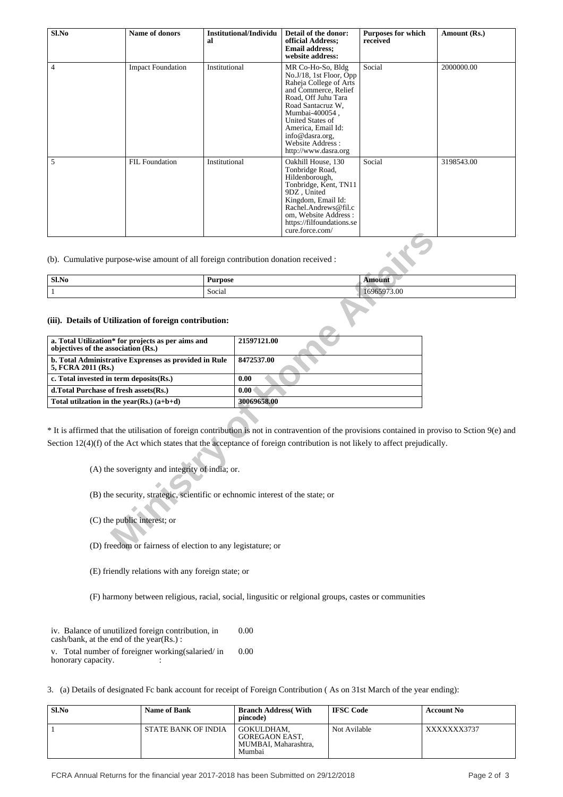| Sl.No | Name of donors           | Institutional/Individu<br>al | Detail of the donor:<br>official Address;<br><b>Email address;</b><br>website address:                                                                                                                                                                                   | <b>Purposes for which</b><br>received | Amount (Rs.) |
|-------|--------------------------|------------------------------|--------------------------------------------------------------------------------------------------------------------------------------------------------------------------------------------------------------------------------------------------------------------------|---------------------------------------|--------------|
| 4     | <b>Impact Foundation</b> | Institutional                | MR Co-Ho-So, Bldg<br>$No.J/18$ , 1st Floor, Opp<br>Raheja College of Arts<br>and Commerce, Relief<br>Road, Off Juhu Tara<br>Road Santacruz W,<br>Mumbai-400054,<br>United States of<br>America, Email Id:<br>info@dasra.org,<br>Website Address:<br>http://www.dasra.org | Social                                | 2000000.00   |
| 5     | FIL Foundation           | Institutional                | Oakhill House, 130<br>Tonbridge Road,<br>Hildenborough,<br>Tonbridge, Kent, TN11<br>9DZ, United<br>Kingdom, Email Id:<br>Rachel.Andrews@fil.c<br>om, Website Address:<br>https://filfoundations.se<br>cure.force.com/                                                    | Social                                | 3198543.00   |

| Sl.No | Purpose          | <br>Amount |
|-------|------------------|------------|
|       | $\sim$<br>Social | 973.00     |

#### **(iii). Details of Utilization of foreign contribution:**

|                                                                                                                                                                                                                                                       |                                                                                                                                 |             | cure.rorce.com |               |  |  |
|-------------------------------------------------------------------------------------------------------------------------------------------------------------------------------------------------------------------------------------------------------|---------------------------------------------------------------------------------------------------------------------------------|-------------|----------------|---------------|--|--|
| (b). Cumulative purpose-wise amount of all foreign contribution donation received :                                                                                                                                                                   |                                                                                                                                 |             |                |               |  |  |
| S1.No<br><b>Purpose</b>                                                                                                                                                                                                                               |                                                                                                                                 |             |                | <b>Amount</b> |  |  |
| $\mathbf{1}$<br>Social                                                                                                                                                                                                                                |                                                                                                                                 |             |                | 16965973.00   |  |  |
| (iii). Details of Utilization of foreign contribution:<br>a. Total Utilization* for projects as per aims and<br>objectives of the association (Rs.)                                                                                                   |                                                                                                                                 | 21597121.00 |                |               |  |  |
| b. Total Administrative Exprenses as provided in Rule<br>5, FCRA 2011 (Rs.)                                                                                                                                                                           |                                                                                                                                 | 8472537.00  |                |               |  |  |
| c. Total invested in term deposits(Rs.)                                                                                                                                                                                                               |                                                                                                                                 | 0.00        |                |               |  |  |
| d.Total Purchase of fresh assets(Rs.)                                                                                                                                                                                                                 |                                                                                                                                 | 0.00        |                |               |  |  |
| Total utilization in the year(Rs.) $(a+b+d)$                                                                                                                                                                                                          |                                                                                                                                 | 30069658.00 |                |               |  |  |
| * It is affirmed that the utilisation of foreign contribution is not in contravention of the provisions contained in prov<br>Section 12(4)(f) of the Act which states that the acceptance of foreign contribution is not likely to affect prejudicall |                                                                                                                                 |             |                |               |  |  |
|                                                                                                                                                                                                                                                       | (A) the soverignty and integrity of india; or.<br>(B) the security, strategic, scientific or echnomic interest of the state; or |             |                |               |  |  |
| (C) the public interest; or                                                                                                                                                                                                                           | (D) freedom or fairness of election to any legistature; or                                                                      |             |                |               |  |  |

\* It is affirmed that the utilisation of foreign contribution is not in contravention of the provisions contained in proviso to Sction 9(e) and Section 12(4)(f) of the Act which states that the acceptance of foreign contribution is not likely to affect prejudically.

- (D) freedom or fairness of election to any legistature; or
- (E) friendly relations with any foreign state; or

(F) harmony between religious, racial, social, lingusitic or relgional groups, castes or communities

iv. Balance of unutilized foreign contribution, in cash/bank, at the end of the year(Rs.) : 0.00 v. Total number of foreigner working(salaried/ in honorary capacity.  $\qquad \qquad$  : 0.00

3. (a) Details of designated Fc bank account for receipt of Foreign Contribution ( As on 31st March of the year ending):

| Sl.No | <b>Name of Bank</b>        | <b>Branch Address</b> (With<br>pincode)                               | <b>IFSC Code</b> | <b>Account No</b> |
|-------|----------------------------|-----------------------------------------------------------------------|------------------|-------------------|
|       | <b>STATE BANK OF INDIA</b> | GOKULDHAM.<br><b>GOREGAON EAST.</b><br>MUMBAI, Maharashtra.<br>Mumbai | Not Avilable     | XXXXXXX3737       |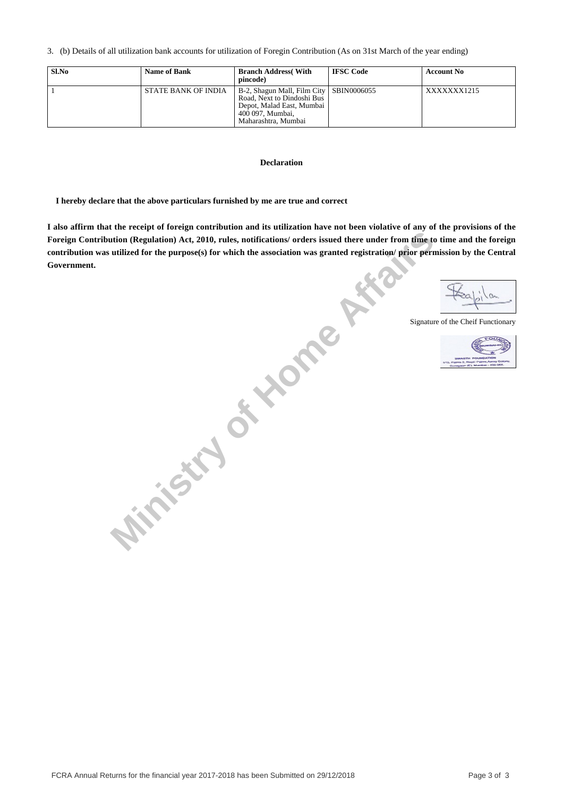3. (b) Details of all utilization bank accounts for utilization of Foregin Contribution (As on 31st March of the year ending)

| Sl.No | <b>Name of Bank</b> | <b>Branch Address</b> (With<br>pincode)                                                                                                         | <b>IFSC Code</b> | <b>Account No</b> |
|-------|---------------------|-------------------------------------------------------------------------------------------------------------------------------------------------|------------------|-------------------|
|       | STATE BANK OF INDIA | B-2, Shagun Mall, Film City   SBIN0006055<br>Road, Next to Dindoshi Bus<br>Depot, Malad East, Mumbai<br>400 097, Mumbai,<br>Maharashtra, Mumbai |                  | XXXXXXX1215       |

#### **Declaration**

 **I hereby declare that the above particulars furnished by me are true and correct**

**Ministry of Home A. I also affirm that the receipt of foreign contribution and its utilization have not been violative of any of the provisions of the Foreign Contribution (Regulation) Act, 2010, rules, notifications/ orders issued there under from time to time and the foreign contribution was utilized for the purpose(s) for which the association was granted registration/ prior permission by the Central Government.**

Signature of the Cheif Functionary

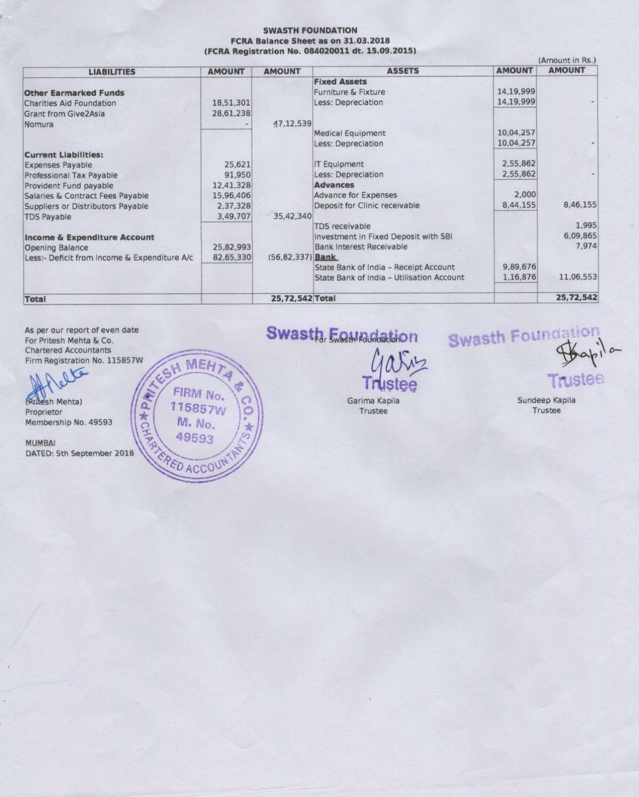#### **SWASTH FOUNDATION** FCRA Balance Sheet as on 31.03.2018 (FCRA Registration No. 084020011 dt. 15.09.2015)

| <b>LIABILITIES</b>                                                                                                                                                                                          | <b>AMOUNT</b>                                                      | <b>AMOUNT</b>        | <b>ASSETS</b>                                                                                                                                                            | <b>AMOUNT</b>                             | <b>AMOUNT</b>                           |
|-------------------------------------------------------------------------------------------------------------------------------------------------------------------------------------------------------------|--------------------------------------------------------------------|----------------------|--------------------------------------------------------------------------------------------------------------------------------------------------------------------------|-------------------------------------------|-----------------------------------------|
| <b>Other Earmarked Funds</b><br>Charities Aid Foundation<br>Grant from Give2Asia<br>Nomura                                                                                                                  | 18,51,301<br>28,61,238                                             | 47,12,539            | <b>Fixed Assets</b><br>Furniture & Fixture<br>Less: Depreciation                                                                                                         | 14,19,999<br>14,19,999                    |                                         |
|                                                                                                                                                                                                             |                                                                    |                      | <b>Medical Equipment</b><br>Less: Depreciation                                                                                                                           | 10,04,257<br>10,04,257                    |                                         |
| <b>Current Liabilities:</b><br><b>Expenses Payable</b><br>Professional Tax Payable<br>Provident Fund payable<br>Salaries & Contract Fees Payable<br>Suppliers or Distributors Payable<br><b>TDS Payable</b> | 25,621<br>91,950<br>12,41,328<br>15,96,406<br>2,37,328<br>3,49,707 | 35.42.340            | <b>IT Equipment</b><br>Less: Depreciation<br><b>Advances</b><br>Advance for Expenses<br>Deposit for Clinic receivable                                                    | 2,55,862<br>2,55,862<br>2,000<br>8,44,155 | 8.46,155                                |
| <b>Income &amp; Expenditure Account</b><br>Opening Balance<br>Less:- Deficit from Income & Expenditure A/c                                                                                                  | 25,82,993<br>82,65,330                                             | $(56, 82, 337)$ Bank | TDS receivable<br>Investment in Fixed Deposit with SBI<br>Bank Interest Receivable<br>State Bank of India - Receipt Account<br>State Bank of India - Utilisation Account | 9,89,676<br>1,16,876                      | 1,995<br>6,09,865<br>7,974<br>11,06,553 |
| Total                                                                                                                                                                                                       |                                                                    | 25, 72, 542 Total    |                                                                                                                                                                          |                                           | 25,72,542                               |

As per our report of even date For Pritesh Mehta & Co. **Chartered Accountants** Firm Registration No. 115857W

MEH,

FIRM No.

115857W

M. No.

49593

ED ACCO!

O

Ġ

 $\overline{\mathbf{a}}$ 

1\*CHP

V۴ (Pritesh Mehta) Proprietor

Membership No. 49593 **MUMBAI** 

DATED: 5th September 2018

alis Trus

Garima Kapila Trustee

Swasth, Equipodation Swasth Foundation

Sundeep Kapila Trustee

Trustee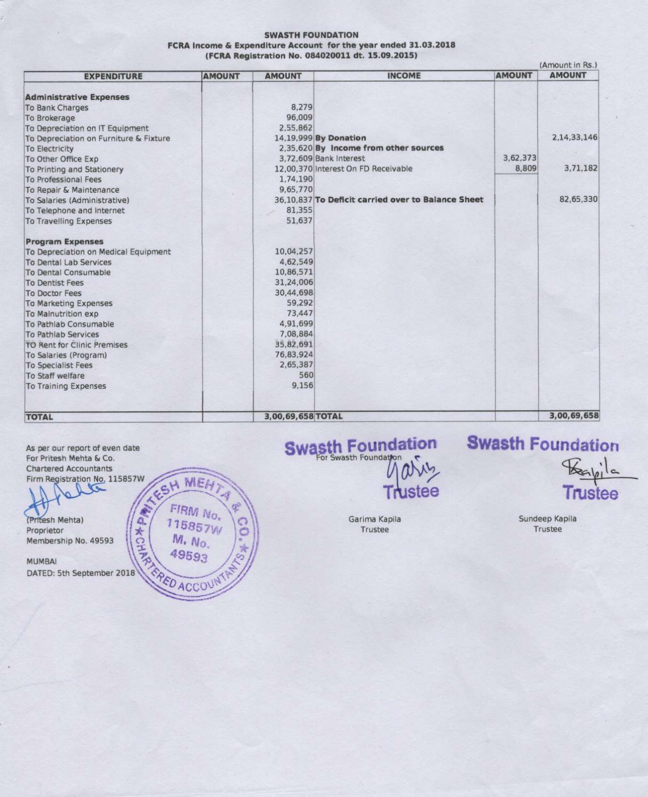**SWASTH FOUNDATION** FCRA Income & Expenditure Account for the year ended 31.03.2018 (FCRA Registration No. 084020011 dt. 15.09.2015)

| <b>EXPENDITURE</b>                     | <b>AMOUNT</b> | <b>AMOUNT</b>     | <b>INCOME</b>                                      | <b>AMOUNT</b> | <b>AMOUNT</b> |
|----------------------------------------|---------------|-------------------|----------------------------------------------------|---------------|---------------|
| <b>Administrative Expenses</b>         |               |                   |                                                    |               |               |
| To Bank Charges                        |               | 8.279             |                                                    |               |               |
| To Brokerage                           |               | 96,009            |                                                    |               |               |
| To Depreciation on IT Equipment        |               | 2.55,862          |                                                    |               |               |
| To Depreciation on Furniture & Fixture |               |                   | 14,19,999 By Donation                              |               | 2,14,33,146   |
| To Electricity                         |               |                   | 2,35,620 By Income from other sources              |               |               |
| To Other Office Exp                    |               |                   | 3,72,609 Bank Interest                             | 3,62,373      |               |
| To Printing and Stationery             |               |                   | 12,00,370 Interest On FD Receivable                | 8,809         | 3,71,182      |
| To Professional Fees                   |               | 1,74,190          |                                                    |               |               |
| To Repair & Maintenance                |               | 9.65,770          |                                                    |               |               |
| To Salaries (Administrative)           |               |                   | 36,10,837 To Deficit carried over to Balance Sheet |               | 82,65,330     |
| To Telephone and Internet              |               | 81,355            |                                                    |               |               |
| To Travelling Expenses                 |               | 51,637            |                                                    |               |               |
|                                        |               |                   |                                                    |               |               |
| <b>Program Expenses</b>                |               |                   |                                                    |               |               |
| To Depreciation on Medical Equipment   |               | 10,04,257         |                                                    |               |               |
| To Dental Lab Services                 |               | 4,62,549          |                                                    |               |               |
| To Dental Consumable                   |               | 10,86,571         |                                                    |               |               |
| <b>To Dentist Fees</b>                 |               | 31,24,006         |                                                    |               |               |
| <b>To Doctor Fees</b>                  |               | 30,44,698         |                                                    |               |               |
| To Marketing Expenses                  |               | 59,292            |                                                    |               |               |
| To Malnutrition exp                    |               | 73,447            |                                                    |               |               |
| To Pathlab Consumable                  |               | 4,91,699          |                                                    |               |               |
| To Pathlab Services                    |               | 7,08,884          |                                                    |               |               |
| TO Rent for Clinic Premises            |               | 35,82,691         |                                                    |               |               |
| To Salaries (Program)                  |               | 76,83,924         |                                                    |               |               |
| <b>To Specialist Fees</b>              |               | 2,65,387          |                                                    |               |               |
| To Staff welfare                       |               | 560               |                                                    |               |               |
| To Training Expenses                   |               | 9,156             |                                                    |               |               |
| <b>TOTAL</b>                           |               | 3,00,69,658 TOTAL |                                                    |               | 3,00,69,658   |

As per our report of even date For Pritesh Mehta & Co. **Chartered Accountants** Firm Registration No. 115857W

τ

ESH MEA

FIRM No.

115857W

(Pritesh Mehta) Proprietor Membership No. 49593

REAL MARIA MUMBAI DATED: 5th September 2018

**Swasth Foundation** 

ustee

**Swasth Foundation** 

Garima Kapila Trustee

 $\cdot |$ **Trustee** 

Sundeep Kapila Trustee